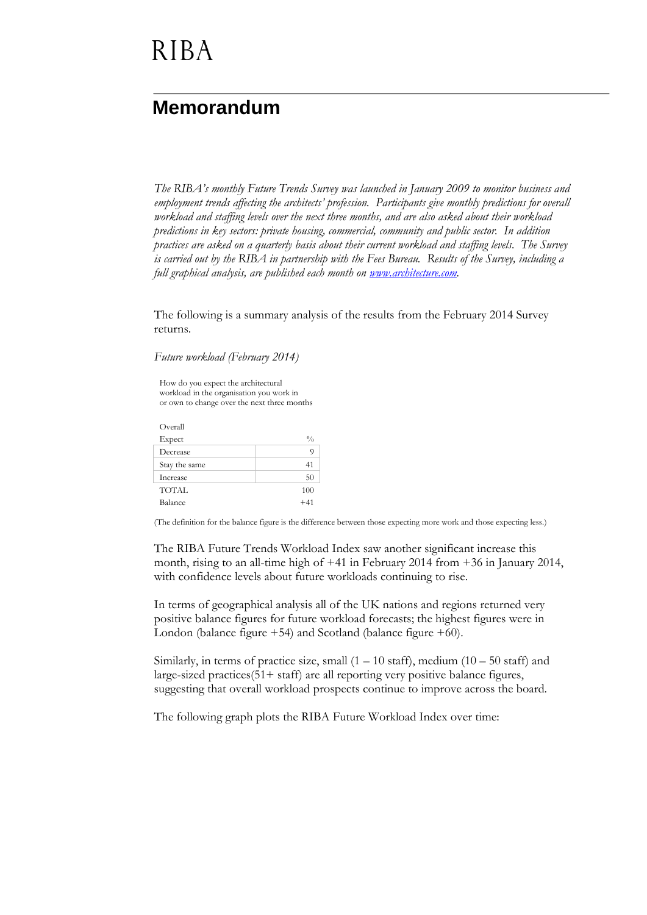# **RIBA**

### **Memorandum**

*The RIBA's monthly Future Trends Survey was launched in January 2009 to monitor business and employment trends affecting the architects' profession. Participants give monthly predictions for overall workload and staffing levels over the next three months, and are also asked about their workload predictions in key sectors: private housing, commercial, community and public sector. In addition practices are asked on a quarterly basis about their current workload and staffing levels. The Survey is carried out by the RIBA in partnership with the Fees Bureau. Results of the Survey, including a full graphical analysis, are published each month on [www.architecture.com.](http://www.architecture.com/)*

The following is a summary analysis of the results from the February 2014 Survey returns.

*Future workload (February 2014)*

How do you expect the architectural workload in the organisation you work in or own to change over the next three months

Overall  $\mathbf{Expected}$   $\%$ Decrease 9 Stay the same 41 Increase 50 TOTAL 100 Balance  $+41$ 

(The definition for the balance figure is the difference between those expecting more work and those expecting less.)

The RIBA Future Trends Workload Index saw another significant increase this month, rising to an all-time high of +41 in February 2014 from +36 in January 2014, with confidence levels about future workloads continuing to rise.

In terms of geographical analysis all of the UK nations and regions returned very positive balance figures for future workload forecasts; the highest figures were in London (balance figure +54) and Scotland (balance figure +60).

Similarly, in terms of practice size, small  $(1 - 10 \text{ staff})$ , medium  $(10 - 50 \text{ staff})$  and large-sized practices(51+ staff) are all reporting very positive balance figures, suggesting that overall workload prospects continue to improve across the board.

The following graph plots the RIBA Future Workload Index over time: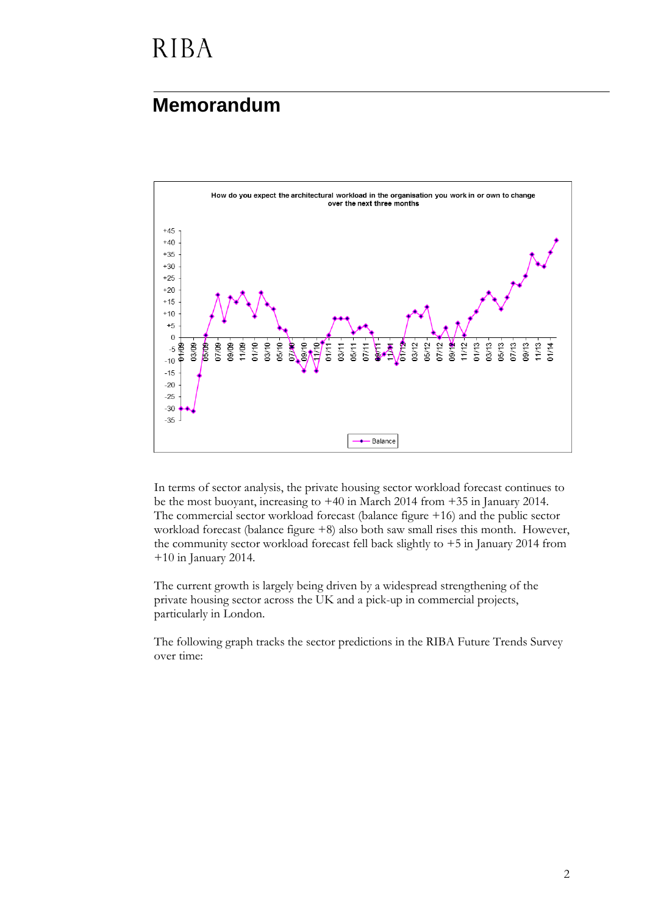# **RIBA**

### **Memorandum**



In terms of sector analysis, the private housing sector workload forecast continues to be the most buoyant, increasing to +40 in March 2014 from +35 in January 2014. The commercial sector workload forecast (balance figure +16) and the public sector workload forecast (balance figure  $+8$ ) also both saw small rises this month. However, the community sector workload forecast fell back slightly to  $+5$  in January 2014 from +10 in January 2014.

The current growth is largely being driven by a widespread strengthening of the private housing sector across the UK and a pick-up in commercial projects, particularly in London.

The following graph tracks the sector predictions in the RIBA Future Trends Survey over time: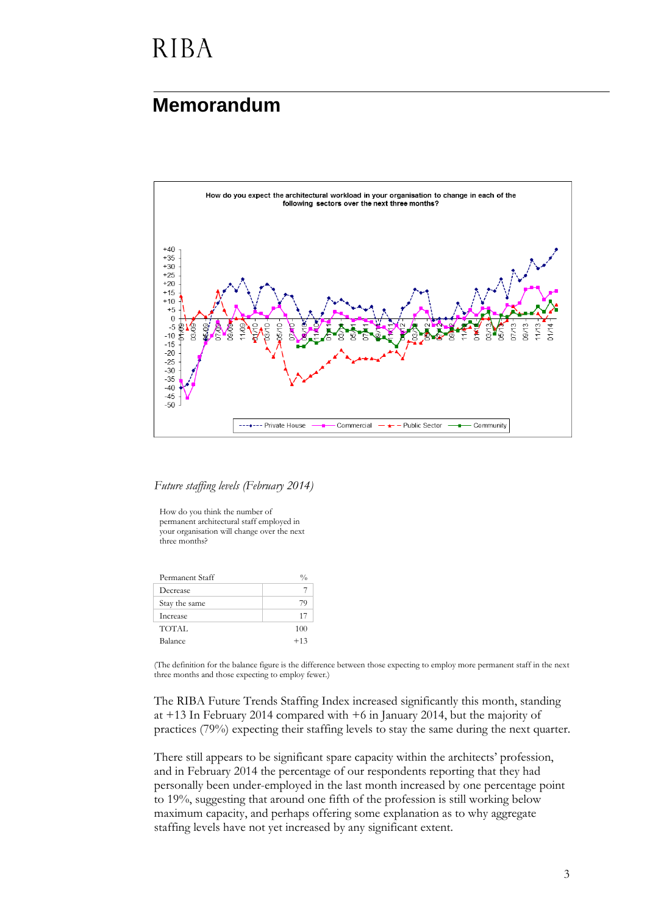### **RIBA**

#### **Memorandum**



*Future staffing levels (February 2014)*

How do you think the number of permanent architectural staff employed in your organisation will change over the next three months?

| Permanent Staff | $\frac{0}{0}$ |
|-----------------|---------------|
| Decrease        |               |
| Stay the same   | 79            |
| Increase        | 17            |
| TOTAL           | 100           |
| Balance         | $+13$         |
|                 |               |

(The definition for the balance figure is the difference between those expecting to employ more permanent staff in the next three months and those expecting to employ fewer.)

The RIBA Future Trends Staffing Index increased significantly this month, standing at +13 In February 2014 compared with +6 in January 2014, but the majority of practices (79%) expecting their staffing levels to stay the same during the next quarter.

There still appears to be significant spare capacity within the architects' profession, and in February 2014 the percentage of our respondents reporting that they had personally been under-employed in the last month increased by one percentage point to 19%, suggesting that around one fifth of the profession is still working below maximum capacity, and perhaps offering some explanation as to why aggregate staffing levels have not yet increased by any significant extent.